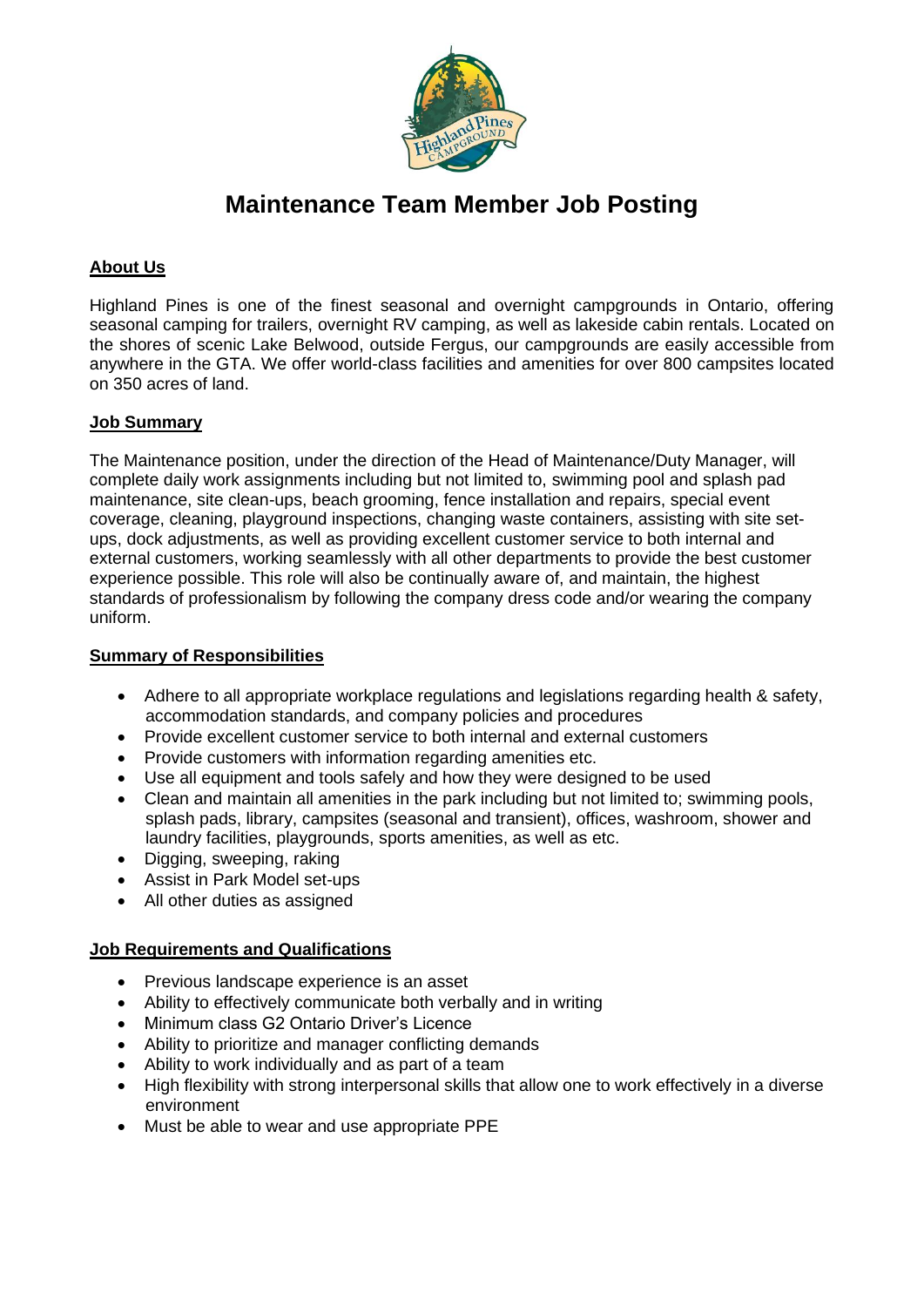

# **Maintenance Team Member Job Posting**

# **About Us**

Highland Pines is one of the finest seasonal and overnight campgrounds in Ontario, offering seasonal camping for trailers, overnight RV camping, as well as lakeside cabin rentals. Located on the shores of scenic Lake Belwood, outside Fergus, our campgrounds are easily accessible from anywhere in the GTA. We offer world-class facilities and amenities for over 800 campsites located on 350 acres of land.

### **Job Summary**

The Maintenance position, under the direction of the Head of Maintenance/Duty Manager, will complete daily work assignments including but not limited to, swimming pool and splash pad maintenance, site clean-ups, beach grooming, fence installation and repairs, special event coverage, cleaning, playground inspections, changing waste containers, assisting with site setups, dock adjustments, as well as providing excellent customer service to both internal and external customers, working seamlessly with all other departments to provide the best customer experience possible. This role will also be continually aware of, and maintain, the highest standards of professionalism by following the company dress code and/or wearing the company uniform.

#### **Summary of Responsibilities**

- Adhere to all appropriate workplace regulations and legislations regarding health & safety, accommodation standards, and company policies and procedures
- Provide excellent customer service to both internal and external customers
- Provide customers with information regarding amenities etc.
- Use all equipment and tools safely and how they were designed to be used
- Clean and maintain all amenities in the park including but not limited to; swimming pools, splash pads, library, campsites (seasonal and transient), offices, washroom, shower and laundry facilities, playgrounds, sports amenities, as well as etc.
- Digging, sweeping, raking
- Assist in Park Model set-ups
- All other duties as assigned

#### **Job Requirements and Qualifications**

- Previous landscape experience is an asset
- Ability to effectively communicate both verbally and in writing
- Minimum class G2 Ontario Driver's Licence
- Ability to prioritize and manager conflicting demands
- Ability to work individually and as part of a team
- High flexibility with strong interpersonal skills that allow one to work effectively in a diverse environment
- Must be able to wear and use appropriate PPE